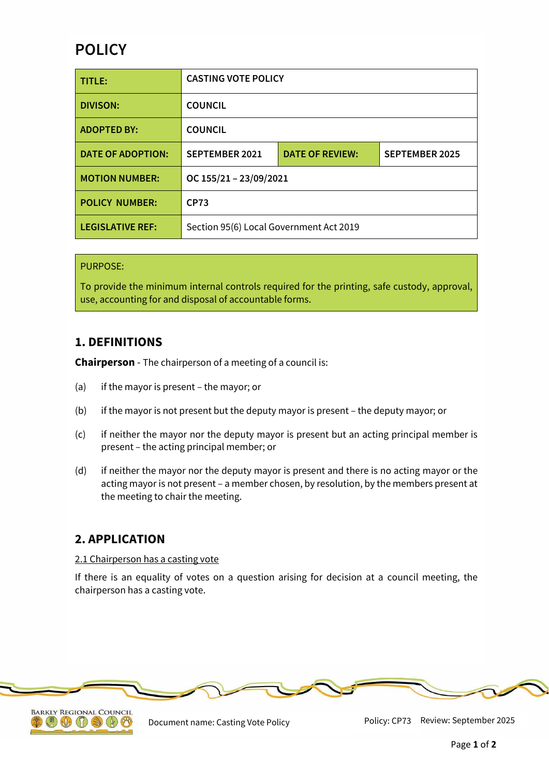# **POLICY**

| TITLE:                   | <b>CASTING VOTE POLICY</b>              |                        |                       |
|--------------------------|-----------------------------------------|------------------------|-----------------------|
| <b>DIVISON:</b>          | <b>COUNCIL</b>                          |                        |                       |
| <b>ADOPTED BY:</b>       | <b>COUNCIL</b>                          |                        |                       |
| <b>DATE OF ADOPTION:</b> | <b>SEPTEMBER 2021</b>                   | <b>DATE OF REVIEW:</b> | <b>SEPTEMBER 2025</b> |
| <b>MOTION NUMBER:</b>    | OC 155/21 - 23/09/2021                  |                        |                       |
| <b>POLICY NUMBER:</b>    | <b>CP73</b>                             |                        |                       |
| <b>LEGISLATIVE REF:</b>  | Section 95(6) Local Government Act 2019 |                        |                       |

#### PURPOSE:

To provide the minimum internal controls required for the printing, safe custody, approval, use, accounting for and disposal of accountable forms.

### **1. DEFINITIONS**

**Chairperson** - The chairperson of a meeting of a council is:

- (a) if the mayor is present the mayor; or
- (b) if the mayor is not present but the deputy mayor is present the deputy mayor; or
- (c) if neither the mayor nor the deputy mayor is present but an acting principal member is present – the acting principal member; or
- (d) if neither the mayor nor the deputy mayor is present and there is no acting mayor or the acting mayor is not present – a member chosen, by resolution, by the members present at the meeting to chair the meeting.

### **2. APPLICATION**

#### 2.1 Chairperson has a casting vote

If there is an equality of votes on a question arising for decision at a council meeting, the chairperson has a casting vote.





Document name: Casting Vote Policy Policy: CP73 Review: September 2025